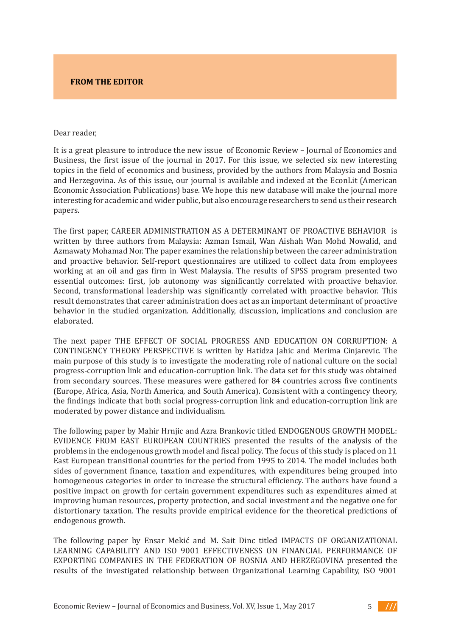## **FROM THE EDITOR**

## Dear reader, Dear reader,

It is a great pleasure to introduce the new issue of Economic Review - Journal of Economics and Example of the selected six new provided to the field of the selection of the field of the first issue of the journal in 2017. For this issue, we selected six new interesting topics in the field of economics and business, provided by the authors from Malaysia and Bosnia authors from Malaysia and Bosnia and Herzegovina. and Herzegovina. As of this issue, our journal is available and indexed at the EconLit (American Economic Association Publications) base. We hope this new database will make the journal more interesting for academic and wider public, but also encourage researchers to send us their research papers.  ${\bf papers.}$ 

The first paper, CAREER ADMINISTRATION AS A DETERMINANT OF PROACTIVE BEHAVIOR is written by three authors from Malaysia: Azman Ismail, Wan Aishah Wan Mohd Nowalid, and Azmawaty Mohamad Nor. The paper examines the relationship between the career administration and proactive behavior. Self-report questionnaires are utilized to collect data from employees working at an oil and gas firm in West Malaysia. The results of SPSS program presented two essential outcomes: first, job autonomy was significantly correlated with proactive behavior. Second, transformational leadership was significantly correlated with proactive behavior. This result demonstrates that career administration does act as an important determinant of proactive behavior in the studied organization. Additionally, discussion, implications and conclusion are elaborated. companies in BiH turn to factoring, a modern financial tool that provides liquidity. This paper is paper in the paper of the paper in the paper in the paper of the paper in the paper of the paper in the paper of the paper

The next paper THE EFFECT OF SOCIAL PROGRESS AND EDUCATION ON CORRUPTION: A CONTINGENCY THEORY PERSPECTIVE is written by Hatidza Jahic and Merima Cinjarevic. The main purpose of this study is to investigate the moderating role of national culture on the social progress-corruption link and education-corruption link. The data set for this study was obtained from secondary sources. These measures were gathered for 84 countries across five continents (Europe, Africa, Asia, North America, and South America). Consistent with a contingency theory, the findings indicate that both social progress-corruption link and education-corruption link are the  $\mathbb{R}^n$ moderated by power distance and individualism.<br>**W** 

The following paper by Mahir Hrnjic and Azra Brankovic titled ENDOGENOUS GROWTH MODEL: EVIDENCE FROM EAST EUROPEAN COUNTRIES presented the results of the analysis of the  $\overline{a}$ problems in the endogenous growth model and fiscal policy. The focus of this study is placed on  $11\,$ East European transitional countries for the period from 1995 to 2014. The model includes both sides of government finance, taxation and expenditures, with expenditures being grouped into homogeneous categories in order to increase the structural efficiency. The authors have found a positive impact on growth for certain government expenditures such as expenditures aimed at improving human resources, property protection, and social investment and the negative one for distortionary taxation. The results provide empirical evidence for the theoretical predictions of endogenous growth.  $\mathbb{F}$  are starting point in this work was the impact of the study of the study of the study of  $\mathbb{F}$ The following paper by manir Hrnjic and Azra Brankovic titled ENDOGENOUS GROW I H MODEL:<br>The Thin the Central European Free Central European Free Central European Free Central European Free Central E The following paper by Ognjen Riđić, Adnan Avdibegović, and Senad Bušatlić titled ANALYSIS

The following paper by Ensar Mekić and M. Sait Dinc titled IMPACTS OF ORGANIZATIONAL LEARNING CAPABILITY AND ISO 9001 EFFECTIVENESS ON FINANCIAL PERFORMANCE OF EXPORTING COMPANIES IN THE FEDERATION OF BOSNIA AND HERZEGOVINA presented the results of the investigated relationship between Organizational Learning Capability, ISO 9001 The following paper by Encar Melzie and M, Soit Dine titled IMDACTS OF ODCANIZATIONAL EMPLOYEES' EXPLOYEEST ENTIRE TO THE RESULTS OF THE RESULTS OF CHANNEL PRODUCTIONS OF THE RESULTS OF RESULTS OF